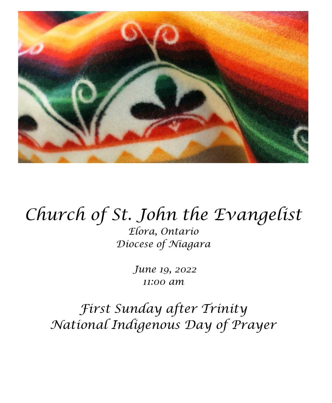

# *Church of St. John the Evangelist*

*Elora, Ontario Diocese of Niagara*

> *June 19, 2022 11:00 am*

*First Sunday after Trinity National Indigenous Day of Prayer*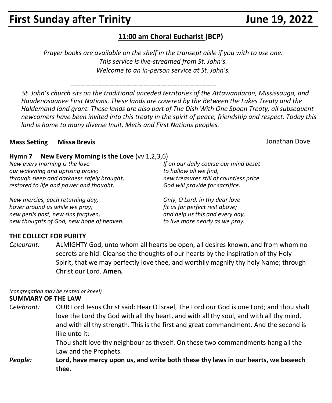# **First Sunday after Trinity State Sunday and State State State State State State State State State State State State State State State State State State State State State State State State State State State State State Sta**

# **11:00 am Choral Eucharist (BCP)**

*Prayer books are available on the shelf in the transept aisle if you with to use one. This service is live-streamed from St. John's. Welcome to an in-person service at St. John's.*

------------------------------------------------------------

 *St. John's church sits on the traditional unceded territories of the Attawandaron, Mississauga, and Haudenosaunee First Nations. These lands are covered by the Between the Lakes Treaty and the Haldemand land grant. These lands are also part of The Dish With One Spoon Treaty, all subsequent newcomers have been invited into this treaty in the spirit of peace, friendship and respect. Today this land is home to many diverse Inuit, Metis and First Nations peoples.* 

#### **Mass Setting Missa Brevis** Jonathan Dove

#### **Hymn 7 New Every Morning is the Love** (vv 1,2,3,6)

*New every morning is the love our wakening and uprising prove; through sleep and darkness safely brought, restored to life and power and thought. If on our daily course our mind beset to hallow all we find, new treasures still of countless price God will provide for sacrifice.*

*New mercies, each returning day, hover around us while we pray; new perils past, new sins forgiven, new thoughts of God, new hope of heaven.*

*Only, O Lord, in thy dear love fit us for perfect rest above; and help us this and every day, to live more nearly as we pray.*

# **THE COLLECT FOR PURITY**

*Celebrant:* ALMIGHTY God, unto whom all hearts be open, all desires known, and from whom no secrets are hid: Cleanse the thoughts of our hearts by the inspiration of thy Holy Spirit, that we may perfectly love thee, and worthily magnify thy holy Name; through Christ our Lord. **Amen.**

*(congregation may be seated or kneel)*

#### **SUMMARY OF THE LAW**

*Celebrant:* OUR Lord Jesus Christ said: Hear O Israel, The Lord our God is one Lord; and thou shalt love the Lord thy God with all thy heart, and with all thy soul, and with all thy mind, and with all thy strength. This is the first and great commandment. And the second is like unto it:

> Thou shalt love thy neighbour as thyself. On these two commandments hang all the Law and the Prophets.

*People:* **Lord, have mercy upon us, and write both these thy laws in our hearts, we beseech thee.**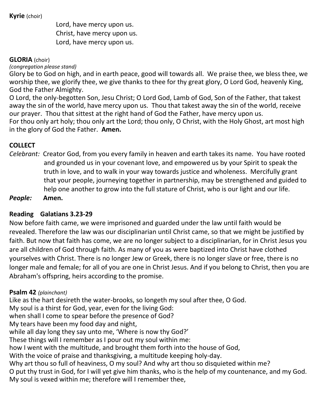**Kyrie** (choir)

Lord, have mercy upon us. Christ, have mercy upon us. Lord, have mercy upon us.

#### **GLORIA** (choir)

*(congregation please stand)*

Glory be to God on high, and in earth peace, good will towards all. We praise thee, we bless thee, we worship thee, we glorify thee, we give thanks to thee for thy great glory, O Lord God, heavenly King, God the Father Almighty.

O Lord, the only-begotten Son, Jesu Christ; O Lord God, Lamb of God, Son of the Father, that takest away the sin of the world, have mercy upon us. Thou that takest away the sin of the world, receive our prayer. Thou that sittest at the right hand of God the Father, have mercy upon us. For thou only art holy; thou only art the Lord; thou only, O Christ, with the Holy Ghost, art most high in the glory of God the Father. **Amen.**

# **COLLECT**

- *Celebrant:* Creator God, from you every family in heaven and earth takes its name. You have rooted and grounded us in your covenant love, and empowered us by your Spirit to speak the truth in love, and to walk in your way towards justice and wholeness. Mercifully grant that your people, journeying together in partnership, may be strengthened and guided to help one another to grow into the full stature of Christ, who is our light and our life.
- *People:* **Amen.**

# **Reading Galatians 3.23-29**

Now before faith came, we were imprisoned and guarded under the law until faith would be revealed. Therefore the law was our disciplinarian until Christ came, so that we might be justified by faith. But now that faith has come, we are no longer subject to a disciplinarian, for in Christ Jesus you are all children of God through faith. As many of you as were baptized into Christ have clothed yourselves with Christ. There is no longer Jew or Greek, there is no longer slave or free, there is no longer male and female; for all of you are one in Christ Jesus. And if you belong to Christ, then you are Abraham's offspring, heirs according to the promise.

# **Psalm 42** *(plainchant)*

Like as the hart desireth the water-brooks, so longeth my soul after thee, O God. My soul is a thirst for God, year, even for the living God: when shall I come to spear before the presence of God? My tears have been my food day and night, while all day long they say unto me, 'Where is now thy God?' These things will I remember as I pour out my soul within me: how I went with the multitude, and brought them forth into the house of God, With the voice of praise and thanksgiving, a multitude keeping holy-day. Why art thou so full of heaviness, O my soul? And why art thou so disquieted within me? O put thy trust in God, for I will yet give him thanks, who is the help of my countenance, and my God. My soul is vexed within me; therefore will I remember thee,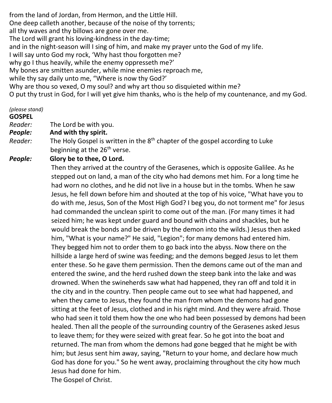from the land of Jordan, from Hermon, and the Little Hill. One deep calleth another, because of the noise of thy torrents; all thy waves and thy billows are gone over me. The Lord will grant his loving-kindness in the day-time; and in the night-season will I sing of him, and make my prayer unto the God of my life. I will say unto God my rock, 'Why hast thou forgotten me? why go I thus heavily, while the enemy oppresseth me?' My bones are smitten asunder, while mine enemies reproach me, while thy say daily unto me, "Where is now thy God?' Why are thou so vexed, O my soul? and why art thou so disquieted within me? O put thy trust in God, for I will yet give him thanks, who is the help of my countenance, and my God.

#### *(please stand)*

#### **GOSPEL**

*Reader:*The Lord be with you.

#### *People:* **And with thy spirit.**

Reader: The Holy Gospel is written in the 8<sup>th</sup> chapter of the gospel according to Luke beginning at the 26<sup>th</sup> verse.

#### *People:* **Glory be to thee, O Lord.**

Then they arrived at the country of the Gerasenes, which is opposite Galilee. As he stepped out on land, a man of the city who had demons met him. For a long time he had worn no clothes, and he did not live in a house but in the tombs. When he saw Jesus, he fell down before him and shouted at the top of his voice, "What have you to do with me, Jesus, Son of the Most High God? I beg you, do not torment me" for Jesus had commanded the unclean spirit to come out of the man. (For many times it had seized him; he was kept under guard and bound with chains and shackles, but he would break the bonds and be driven by the demon into the wilds.) Jesus then asked him, "What is your name?" He said, "Legion"; for many demons had entered him. They begged him not to order them to go back into the abyss. Now there on the hillside a large herd of swine was feeding; and the demons begged Jesus to let them enter these. So he gave them permission. Then the demons came out of the man and entered the swine, and the herd rushed down the steep bank into the lake and was drowned. When the swineherds saw what had happened, they ran off and told it in the city and in the country. Then people came out to see what had happened, and when they came to Jesus, they found the man from whom the demons had gone sitting at the feet of Jesus, clothed and in his right mind. And they were afraid. Those who had seen it told them how the one who had been possessed by demons had been healed. Then all the people of the surrounding country of the Gerasenes asked Jesus to leave them; for they were seized with great fear. So he got into the boat and returned. The man from whom the demons had gone begged that he might be with him; but Jesus sent him away, saying, "Return to your home, and declare how much God has done for you." So he went away, proclaiming throughout the city how much Jesus had done for him.

The Gospel of Christ.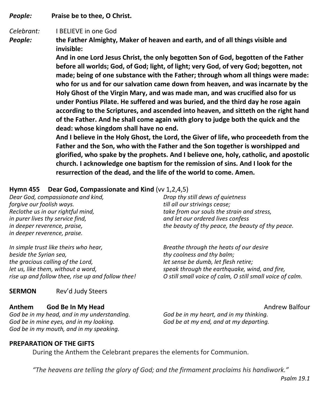*People:* **Praise be to thee, O Christ.**

*Celebrant:* I BELIEVE in one God

*People:* **the Father Almighty, Maker of heaven and earth, and of all things visible and invisible:**

> **And in one Lord Jesus Christ, the only begotten Son of God, begotten of the Father before all worlds; God, of God; light, of light; very God, of very God; begotten, not made; being of one substance with the Father; through whom all things were made: who for us and for our salvation came down from heaven, and was incarnate by the Holy Ghost of the Virgin Mary, and was made man, and was crucified also for us under Pontius Pilate. He suffered and was buried, and the third day he rose again according to the Scriptures, and ascended into heaven, and sitteth on the right hand of the Father. And he shall come again with glory to judge both the quick and the dead: whose kingdom shall have no end.**

> **And I believe in the Holy Ghost, the Lord, the Giver of life, who proceedeth from the Father and the Son, who with the Father and the Son together is worshipped and glorified, who spake by the prophets. And I believe one, holy, catholic, and apostolic church. I acknowledge one baptism for the remission of sins. And I look for the resurrection of the dead, and the life of the world to come. Amen.**

# **Hymn 455 Dear God, Compassionate and Kind** (vv 1,2,4,5)

*Dear God, compassionate and kind, forgive our foolish ways. Reclothe us in our rightful mind, in purer lives thy service find, in deeper reverence, praise, in deeper reverence, praise.*

*In simple trust like theirs who hear, beside the Syrian sea, the gracious calling of the Lord, let us, like them, without a word, rise up and follow thee, rise up and follow thee!*

#### **SERMON** Rev'd Judy Steers

#### **Anthem God Be In My Head Community Community Community Community Community Community Community Community Community**

*God be in my head, and in my understanding. God be in mine eyes, and in my looking. God be in my mouth, and in my speaking.*

*Drop thy still dews of quietness till all our strivings cease; take from our souls the strain and stress, and let our ordered lives confess the beauty of thy peace, the beauty of thy peace.*

*Breathe through the heats of our desire thy coolness and thy balm; let sense be dumb, let flesh retire; speak through the earthquake, wind, and fire, O still small voice of calm, O still small voice of calm.*

*God be in my heart, and in my thinking. God be at my end, and at my departing.*

#### **PREPARATION OF THE GIFTS**

During the Anthem the Celebrant prepares the elements for Communion.

*"The heavens are telling the glory of God; and the firmament proclaims his handiwork."*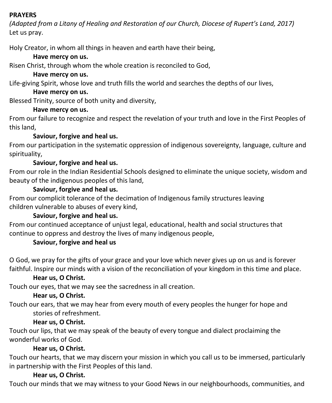### **PRAYERS**

*(Adapted from a Litany of Healing and Restoration of our Church, Diocese of Rupert's Land, 2017)* Let us pray.

Holy Creator, in whom all things in heaven and earth have their being,

# **Have mercy on us.**

Risen Christ, through whom the whole creation is reconciled to God,

# **Have mercy on us.**

Life-giving Spirit, whose love and truth fills the world and searches the depths of our lives,

# **Have mercy on us.**

Blessed Trinity, source of both unity and diversity,

# **Have mercy on us.**

From our failure to recognize and respect the revelation of your truth and love in the First Peoples of this land,

# **Saviour, forgive and heal us.**

From our participation in the systematic oppression of indigenous sovereignty, language, culture and spirituality,

# **Saviour, forgive and heal us.**

From our role in the Indian Residential Schools designed to eliminate the unique society, wisdom and beauty of the indigenous peoples of this land,

# **Saviour, forgive and heal us.**

From our complicit tolerance of the decimation of Indigenous family structures leaving children vulnerable to abuses of every kind,

# **Saviour, forgive and heal us.**

From our continued acceptance of unjust legal, educational, health and social structures that continue to oppress and destroy the lives of many indigenous people,

# **Saviour, forgive and heal us**

O God, we pray for the gifts of your grace and your love which never gives up on us and is forever faithful. Inspire our minds with a vision of the reconciliation of your kingdom in this time and place.

# **Hear us, O Christ.**

Touch our eyes, that we may see the sacredness in all creation.

# **Hear us, O Christ.**

Touch our ears, that we may hear from every mouth of every peoples the hunger for hope and stories of refreshment.

# **Hear us, O Christ.**

Touch our lips, that we may speak of the beauty of every tongue and dialect proclaiming the wonderful works of God.

# **Hear us, O Christ.**

Touch our hearts, that we may discern your mission in which you call us to be immersed, particularly in partnership with the First Peoples of this land.

# **Hear us, O Christ.**

Touch our minds that we may witness to your Good News in our neighbourhoods, communities, and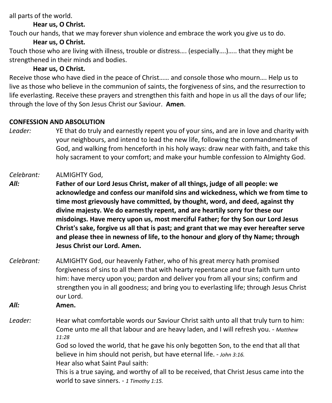all parts of the world.

# **Hear us, O Christ.**

Touch our hands, that we may forever shun violence and embrace the work you give us to do.

# **Hear us, O Christ.**

Touch those who are living with illness, trouble or distress…. (especially….)….. that they might be strengthened in their minds and bodies.

# **Hear us, O Christ.**

Receive those who have died in the peace of Christ…… and console those who mourn…. Help us to live as those who believe in the communion of saints, the forgiveness of sins, and the resurrection to life everlasting. Receive these prayers and strengthen this faith and hope in us all the days of our life; through the love of thy Son Jesus Christ our Saviour. **Amen**.

# **CONFESSION AND ABSOLUTION**

*Leader:* YE that do truly and earnestly repent you of your sins, and are in love and charity with your neighbours, and intend to lead the new life, following the commandments of God, and walking from henceforth in his holy ways: draw near with faith, and take this holy sacrament to your comfort; and make your humble confession to Almighty God.

# *Celebrant:* ALMIGHTY God,

- *All:* **Father of our Lord Jesus Christ, maker of all things, judge of all people: we acknowledge and confess our manifold sins and wickedness, which we from time to time most grievously have committed, by thought, word, and deed, against thy divine majesty. We do earnestly repent, and are heartily sorry for these our misdoings. Have mercy upon us, most merciful Father; for thy Son our Lord Jesus Christ's sake, forgive us all that is past; and grant that we may ever hereafter serve and please thee in newness of life, to the honour and glory of thy Name; through Jesus Christ our Lord. Amen.**
- *Celebrant:* ALMIGHTY God, our heavenly Father, who of his great mercy hath promised forgiveness of sins to all them that with hearty repentance and true faith turn unto him: have mercy upon you; pardon and deliver you from all your sins; confirm and strengthen you in all goodness; and bring you to everlasting life; through Jesus Christ our Lord.
- *All:* **Amen.**
- *Leader:* Hear what comfortable words our Saviour Christ saith unto all that truly turn to him: Come unto me all that labour and are heavy laden, and I will refresh you. - *Matthew 11:28* God so loved the world, that he gave his only begotten Son, to the end that all that believe in him should not perish, but have eternal life. - *John 3:16.* Hear also what Saint Paul saith: This is a true saying, and worthy of all to be received, that Christ Jesus came into the world to save sinners. - *1 Timothy 1:15.*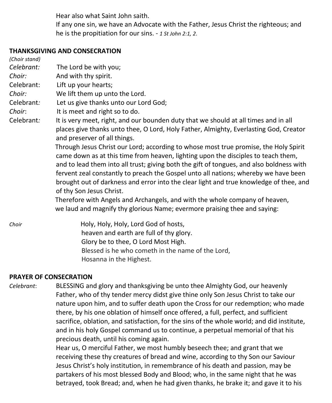Hear also what Saint John saith.

If any one sin, we have an Advocate with the Father, Jesus Christ the righteous; and he is the propitiation for our sins. - *1 St John 2:1, 2*.

### **THANKSGIVING AND CONSECRATION**

*(Choir stand) Celebrant:* The Lord be with you; *Choir:* And with thy spirit. Celebrant: Lift up your hearts; *Choir:* We lift them up unto the Lord. Celebrant*:* Let us give thanks unto our Lord God; *Choir*: It is meet and right so to do. Celebrant*:* It is very meet, right, and our bounden duty that we should at all times and in all places give thanks unto thee, O Lord, Holy Father, Almighty, Everlasting God, Creator and preserver of all things. Through Jesus Christ our Lord; according to whose most true promise, the Holy Spirit came down as at this time from heaven, lighting upon the disciples to teach them, and to lead them into all trust; giving both the gift of tongues, and also boldness with fervent zeal constantly to preach the Gospel unto all nations; whereby we have been brought out of darkness and error into the clear light and true knowledge of thee, and of thy Son Jesus Christ. Therefore with Angels and Archangels, and with the whole company of heaven,

we laud and magnify thy glorious Name; evermore praising thee and saying:

*Choir* **Holy, Holy, Holy, Lord God of hosts,**  heaven and earth are full of thy glory. Glory be to thee, O Lord Most High. Blessed is he who cometh in the name of the Lord, Hosanna in the Highest.

# **PRAYER OF CONSECRATION**

*Celebrant*: BLESSING and glory and thanksgiving be unto thee Almighty God, our heavenly Father, who of thy tender mercy didst give thine only Son Jesus Christ to take our nature upon him, and to suffer death upon the Cross for our redemption; who made there, by his one oblation of himself once offered, a full, perfect, and sufficient sacrifice, oblation, and satisfaction, for the sins of the whole world; and did institute, and in his holy Gospel command us to continue, a perpetual memorial of that his precious death, until his coming again.

> Hear us, O merciful Father, we most humbly beseech thee; and grant that we receiving these thy creatures of bread and wine, according to thy Son our Saviour Jesus Christ's holy institution, in remembrance of his death and passion, may be partakers of his most blessed Body and Blood; who, in the same night that he was betrayed, took Bread; and, when he had given thanks, he brake it; and gave it to his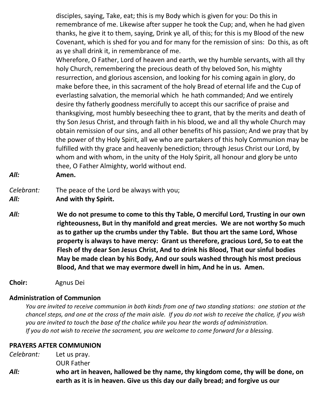disciples, saying, Take, eat; this is my Body which is given for you: Do this in remembrance of me. Likewise after supper he took the Cup; and, when he had given thanks, he give it to them, saying, Drink ye all, of this; for this is my Blood of the new Covenant, which is shed for you and for many for the remission of sins: Do this, as oft as ye shall drink it, in remembrance of me.

Wherefore, O Father, Lord of heaven and earth, we thy humble servants, with all thy holy Church, remembering the precious death of thy beloved Son, his mighty resurrection, and glorious ascension, and looking for his coming again in glory, do make before thee, in this sacrament of the holy Bread of eternal life and the Cup of everlasting salvation, the memorial which he hath commanded; And we entirely desire thy fatherly goodness mercifully to accept this our sacrifice of praise and thanksgiving, most humbly beseeching thee to grant, that by the merits and death of thy Son Jesus Christ, and through faith in his blood, we and all thy whole Church may obtain remission of our sins, and all other benefits of his passion; And we pray that by the power of thy Holy Spirit, all we who are partakers of this holy Communion may be fulfilled with thy grace and heavenly benediction; through Jesus Christ our Lord, by whom and with whom, in the unity of the Holy Spirit, all honour and glory be unto thee, O Father Almighty, world without end.

```
All: Amen.
```
# *Celebrant:* The peace of the Lord be always with you; *All:* **And with thy Spirit.**

*All:* **We do not presume to come to this thy Table, O merciful Lord, Trusting in our own righteousness, But in thy manifold and great mercies. We are not worthy So much as to gather up the crumbs under thy Table. But thou art the same Lord, Whose property is always to have mercy: Grant us therefore, gracious Lord, So to eat the Flesh of thy dear Son Jesus Christ, And to drink his Blood, That our sinful bodies May be made clean by his Body, And our souls washed through his most precious Blood, And that we may evermore dwell in him, And he in us. Amen.**

**Choir:** Agnus Dei

# **Administration of Communion**

You are invited to receive communion in both kinds from one of two standing stations: one station at the chancel steps, and one at the cross of the main aisle. If you do not wish to receive the chalice, if you wish  *you are invited to touch the base of the chalice while you hear the words of administration. If you do not wish to receive the sacrament, you are welcome to come forward for a blessing.*

# **PRAYERS AFTER COMMUNION**

| Celebrant: | Let us pray.                                                                    |
|------------|---------------------------------------------------------------------------------|
|            | <b>OUR Father</b>                                                               |
| All:       | who art in heaven, hallowed be thy name, thy kingdom come, thy will be done, on |
|            | earth as it is in heaven. Give us this day our daily bread; and forgive us our  |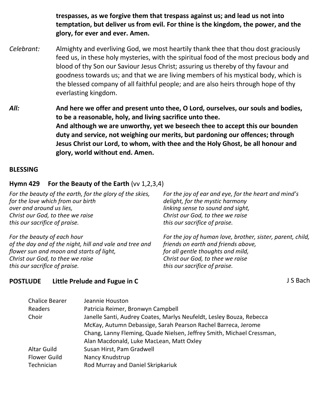**trespasses, as we forgive them that trespass against us; and lead us not into temptation, but deliver us from evil. For thine is the kingdom, the power, and the glory, for ever and ever. Amen.**

- *Celebrant:* Almighty and everliving God, we most heartily thank thee that thou dost graciously feed us, in these holy mysteries, with the spiritual food of the most precious body and blood of thy Son our Saviour Jesus Christ; assuring us thereby of thy favour and goodness towards us; and that we are living members of his mystical body, which is the blessed company of all faithful people; and are also heirs through hope of thy everlasting kingdom.
- *All:* **And here we offer and present unto thee, O Lord, ourselves, our souls and bodies, to be a reasonable, holy, and living sacrifice unto thee. And although we are unworthy, yet we beseech thee to accept this our bounden duty and service, not weighing our merits, but pardoning our offences; through Jesus Christ our Lord, to whom, with thee and the Holy Ghost, be all honour and glory, world without end. Amen.**

#### **BLESSING**

#### **Hymn 429 For the Beauty of the Earth** (vv 1,2,3,4)

*For the beauty of the earth, for the glory of the skies, for the love which from our birth over and around us lies, Christ our God, to thee we raise this our sacrifice of praise.*

*For the beauty of each hour of the day and of the night, hill and vale and tree and flower sun and moon and starts of light, Christ our God, to thee we raise this our sacrifice of praise.*

*For the joy of ear and eye, for the heart and mind's delight, for the mystic harmony linking sense to sound and sight, Christ our God, to thee we raise this our sacrifice of praise.*

*For the joy of human love, brother, sister, parent, child, friends on earth and friends above, for all gentle thoughts and mild, Christ our God, to thee we raise this our sacrifice of praise.*

#### **POSTLUDE** Little Prelude and Fugue in C **All and Secure 2018** 1 S Bach

| <b>Chalice Bearer</b> | Jeannie Houston                                                       |  |  |
|-----------------------|-----------------------------------------------------------------------|--|--|
| Readers               | Patricia Reimer, Bronwyn Campbell                                     |  |  |
| Choir                 | Janelle Santi, Audrey Coates, Marlys Neufeldt, Lesley Bouza, Rebecca  |  |  |
|                       | McKay, Autumn Debassige, Sarah Pearson Rachel Barreca, Jerome         |  |  |
|                       | Chang, Lanny Fleming, Quade Nielsen, Jeffrey Smith, Michael Cressman, |  |  |
|                       | Alan Macdonald, Luke MacLean, Matt Oxley                              |  |  |
| Altar Guild           | Susan Hirst, Pam Gradwell                                             |  |  |
| Flower Guild          | Nancy Knudstrup                                                       |  |  |
| Technician            | Rod Murray and Daniel Skripkariuk                                     |  |  |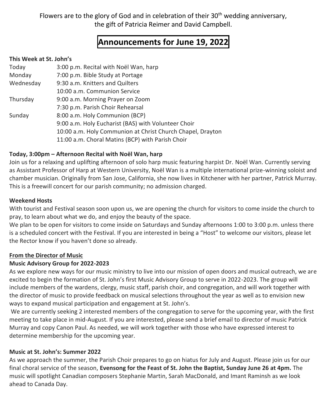Flowers are to the glory of God and in celebration of their  $30<sup>th</sup>$  wedding anniversary, the gift of Patricia Reimer and David Campbell.

# **Announcements for June 19, 2022**

#### **This Week at St. John's**

| Today     | 3:00 p.m. Recital with Noël Wan, harp                      |  |  |
|-----------|------------------------------------------------------------|--|--|
| Monday    | 7:00 p.m. Bible Study at Portage                           |  |  |
| Wednesday | 9:30 a.m. Knitters and Quilters                            |  |  |
|           | 10:00 a.m. Communion Service                               |  |  |
| Thursday  | 9:00 a.m. Morning Prayer on Zoom                           |  |  |
|           | 7:30 p.m. Parish Choir Rehearsal                           |  |  |
| Sunday    | 8:00 a.m. Holy Communion (BCP)                             |  |  |
|           | 9:00 a.m. Holy Eucharist (BAS) with Volunteer Choir        |  |  |
|           | 10:00 a.m. Holy Communion at Christ Church Chapel, Drayton |  |  |
|           | 11:00 a.m. Choral Matins (BCP) with Parish Choir           |  |  |

#### **Today, 3:00pm – Afternoon Recital with Noël Wan, harp**

Join us for a relaxing and uplifting afternoon of solo harp music featuring harpist Dr. Noël Wan. Currently serving as Assistant Professor of Harp at Western University, Noël Wan is a multiple international prize-winning soloist and chamber musician. Originally from San Jose, California, she now lives in Kitchener with her partner, Patrick Murray. This is a freewill concert for our parish community; no admission charged.

#### **Weekend Hosts**

With tourist and Festival season soon upon us, we are opening the church for visitors to come inside the church to pray, to learn about what we do, and enjoy the beauty of the space.

We plan to be open for visitors to come inside on Saturdays and Sunday afternoons 1:00 to 3:00 p.m. unless there is a scheduled concert with the Festival. If you are interested in being a "Host" to welcome our visitors, please let the Rector know if you haven't done so already.

#### **From the Director of Music**

#### **Music Advisory Group for 2022-2023**

As we explore new ways for our music ministry to live into our mission of open doors and musical outreach, we are excited to begin the formation of St. John's first Music Advisory Group to serve in 2022-2023. The group will include members of the wardens, clergy, music staff, parish choir, and congregation, and will work together with the director of music to provide feedback on musical selections throughout the year as well as to envision new ways to expand musical participation and engagement at St. John's.

We are currently seeking 2 interested members of the congregation to serve for the upcoming year, with the first meeting to take place in mid-August. If you are interested, please send a brief email to director of music Patrick Murray and copy Canon Paul. As needed, we will work together with those who have expressed interest to determine membership for the upcoming year.

#### **Music at St. John's: Summer 2022**

As we approach the summer, the Parish Choir prepares to go on hiatus for July and August. Please join us for our final choral service of the season, **Evensong for the Feast of St. John the Baptist, Sunday June 26 at 4pm.** The music will spotlight Canadian composers Stephanie Martin, Sarah MacDonald, and Imant Raminsh as we look ahead to Canada Day.